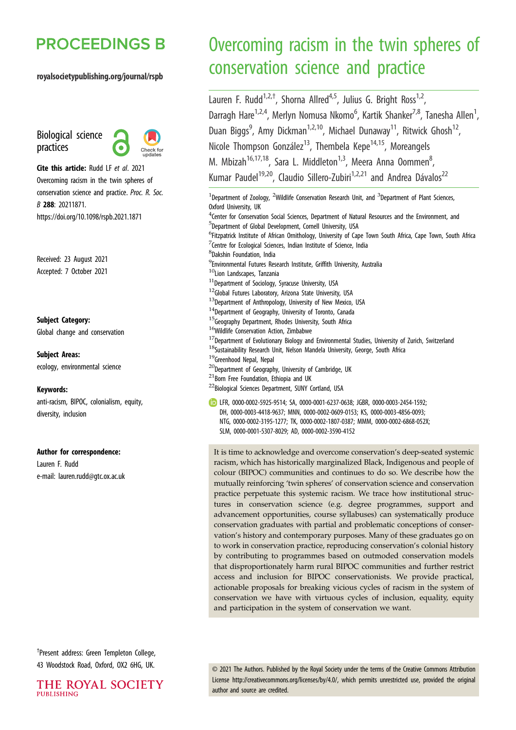## **PROCEEDINGS B**

#### royalsocietypublishing.org/journal/rspb

Biological science practices



Cite this article: Rudd LF et al. 2021 Overcoming racism in the twin spheres of conservation science and practice. Proc. R. Soc. B 288: 20211871. https://doi.org/10.1098/rspb.2021.1871

Received: 23 August 2021 Accepted: 7 October 2021

#### Subject Category:

Global change and conservation

#### Subject Areas:

ecology, environmental science

#### Keywords:

anti-racism, BIPOC, colonialism, equity, diversity, inclusion

#### Author for correspondence:

Lauren F. Rudd e-mail: [lauren.rudd@gtc.ox.ac.uk](mailto:lauren.rudd@gtc.ox.ac.uk)

# Overcoming racism in the twin spheres of conservation science and practice

Lauren F. Rudd<sup>1,2,†</sup>, Shorna Allred<sup>4,5</sup>, Julius G. Bright Ross<sup>1,2</sup>, Darragh Hare<sup>1,2,4</sup>, Merlyn Nomusa Nkomo<sup>6</sup>, Kartik Shanker<sup>7,8</sup>, Tanesha Allen<sup>1</sup> , Duan Biggs<sup>9</sup>, Amy Dickman<sup>1,2,10</sup>, Michael Dunaway<sup>11</sup>, Ritwick Ghosh<sup>12</sup>, Nicole Thompson González<sup>13</sup>, Thembela Kepe<sup>14,15</sup>, Moreangels M. Mbizah<sup>16,17,18</sup>, Sara L. Middleton<sup>1,3</sup>, Meera Anna Oommen<sup>8</sup>, ;<br>, Kumar Paudel<sup>19,20</sup>, Claudio Sillero-Zubiri<sup>1,2,21</sup> and Andrea Dávalos<sup>22</sup>

<sup>1</sup>Department of Zoology, <sup>2</sup>Wildlife Conservation Research Unit, and <sup>3</sup>Department of Plant Sciences, Oxford University, UK <sup>4</sup> Center for Conservation Social Sciences, Department of Natural Resources and the Environment, and 5 Department of Global Development, Cornell University, USA <sup>6</sup>Fitzpatrick Institute of African Ornithology, University of Cape Town South Africa, Cape Town, South Africa <sup>7</sup> Centre for Ecological Sciences, Indian Institute of Science, India 8 Dakshin Foundation, India 9 Environmental Futures Research Institute, Griffith University, Australia <sup>10</sup>Lion Landscapes, Tanzania  $^{11}$ Department of Sociology, Syracuse University, USA <sup>12</sup>Global Futures Laboratory, Arizona State University, USA <sup>13</sup>Department of Anthropology, University of New Mexico, USA  $14$ Department of Geography, University of Toronto, Canada <sup>15</sup>Geography Department, Rhodes University, South Africa <sup>16</sup>Wildlife Conservation Action, Zimbabwe  $^{17}$ Department of Evolutionary Biology and Environmental Studies, University of Zurich, Switzerland  $^{18}$ Sustainability Research Unit, Nelson Mandela University, George, South Africa <sup>19</sup>Greenhood Nepal, Nepal <sup>20</sup>Department of Geography, University of Cambridge, UK  $^{21}$ Born Free Foundation, Ethiopia and UK <sup>22</sup>Biological Sciences Department, SUNY Cortland, USA LFR, [0000-0002-5925-9514](http://orcid.org/0000-0002-5925-9514); SA, [0000-0001-6237-0638](http://orcid.org/0000-0001-6237-0638); JGBR, [0000-0003-2454-1592](http://orcid.org/0000-0003-2454-1592); DH, [0000-0003-4418-9637;](http://orcid.org/0000-0003-4418-9637) MNN, [0000-0002-0609-0153;](http://orcid.org/0000-0002-0609-0153) KS, [0000-0003-4856-0093](http://orcid.org/0000-0003-4856-0093); NTG, [0000-0002-3195-1277;](http://orcid.org/0000-0002-3195-1277) TK, [0000-0002-1807-0387;](http://orcid.org/0000-0002-1807-0387) MMM, [0000-0002-6868-052X;](http://orcid.org/0000-0002-6868-052X) SLM, [0000-0001-5307-8029](http://orcid.org/0000-0001-5307-8029); AD, [0000-0002-3590-4152](http://orcid.org/0000-0002-3590-4152)

It is time to acknowledge and overcome conservation's deep-seated systemic racism, which has historically marginalized Black, Indigenous and people of colour (BIPOC) communities and continues to do so. We describe how the mutually reinforcing 'twin spheres' of conservation science and conservation practice perpetuate this systemic racism. We trace how institutional structures in conservation science (e.g. degree programmes, support and advancement opportunities, course syllabuses) can systematically produce conservation graduates with partial and problematic conceptions of conservation's history and contemporary purposes. Many of these graduates go on to work in conservation practice, reproducing conservation's colonial history by contributing to programmes based on outmoded conservation models that disproportionately harm rural BIPOC communities and further restrict access and inclusion for BIPOC conservationists. We provide practical, actionable proposals for breaking vicious cycles of racism in the system of conservation we have with virtuous cycles of inclusion, equality, equity and participation in the system of conservation we want.

† Present address: Green Templeton College, 43 Woodstock Road, Oxford, OX2 6HG, UK.

© 2021 The Authors. Published by the Royal Society under the terms of the Creative Commons Attribution License<http://creativecommons.org/licenses/by/4.0/>, which permits unrestricted use, provided the original author and source are credited.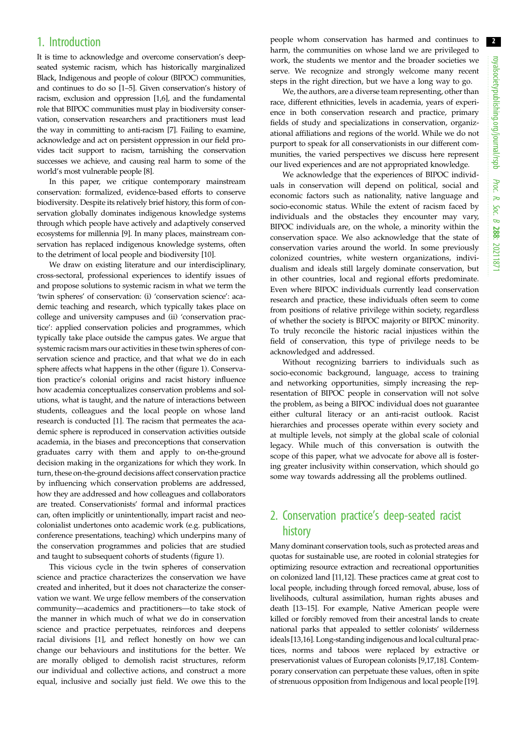### 1. Introduction

It is time to acknowledge and overcome conservation's deepseated systemic racism, which has historically marginalized Black, Indigenous and people of colour (BIPOC) communities, and continues to do so [\[1](#page-7-0)–[5](#page-7-0)]. Given conservation's history of racism, exclusion and oppression [\[1](#page-7-0),[6\]](#page-7-0), and the fundamental role that BIPOC communities must play in biodiversity conservation, conservation researchers and practitioners must lead the way in committing to anti-racism [[7](#page-7-0)]. Failing to examine, acknowledge and act on persistent oppression in our field provides tacit support to racism, tarnishing the conservation successes we achieve, and causing real harm to some of the world's most vulnerable people [\[8\]](#page-7-0).

In this paper, we critique contemporary mainstream conservation: formalized, evidence-based efforts to conserve biodiversity. Despite its relatively brief history, this form of conservation globally dominates indigenous knowledge systems through which people have actively and adaptively conserved ecosystems for millennia [\[9\]](#page-7-0). In many places, mainstream conservation has replaced indigenous knowledge systems, often to the detriment of local people and biodiversity [\[10](#page-7-0)].

We draw on existing literature and our interdisciplinary, cross-sectoral, professional experiences to identify issues of and propose solutions to systemic racism in what we term the 'twin spheres' of conservation: (i) 'conservation science': academic teaching and research, which typically takes place on college and university campuses and (ii) 'conservation practice': applied conservation policies and programmes, which typically take place outside the campus gates. We argue that systemic racism mars our activities in these twin spheres of conservation science and practice, and that what we do in each sphere affects what happens in the other ([figure 1](#page-2-0)). Conservation practice's colonial origins and racist history influence how academia conceptualizes conservation problems and solutions, what is taught, and the nature of interactions between students, colleagues and the local people on whose land research is conducted [\[1\]](#page-7-0). The racism that permeates the academic sphere is reproduced in conservation activities outside academia, in the biases and preconceptions that conservation graduates carry with them and apply to on-the-ground decision making in the organizations for which they work. In turn, these on-the-ground decisions affect conservation practice by influencing which conservation problems are addressed, how they are addressed and how colleagues and collaborators are treated. Conservationists' formal and informal practices can, often implicitly or unintentionally, impart racist and neocolonialist undertones onto academic work (e.g. publications, conference presentations, teaching) which underpins many of the conservation programmes and policies that are studied and taught to subsequent cohorts of students [\(figure 1\)](#page-2-0).

This vicious cycle in the twin spheres of conservation science and practice characterizes the conservation we have created and inherited, but it does not characterize the conservation we want. We urge fellow members of the conservation community—academics and practitioners—to take stock of the manner in which much of what we do in conservation science and practice perpetuates, reinforces and deepens racial divisions [[1](#page-7-0)], and reflect honestly on how we can change our behaviours and institutions for the better. We are morally obliged to demolish racist structures, reform our individual and collective actions, and construct a more equal, inclusive and socially just field. We owe this to the people whom conservation has harmed and continues to harm, the communities on whose land we are privileged to work, the students we mentor and the broader societies we serve. We recognize and strongly welcome many recent steps in the right direction, but we have a long way to go.

We, the authors, are a diverse team representing, other than race, different ethnicities, levels in academia, years of experience in both conservation research and practice, primary fields of study and specializations in conservation, organizational affiliations and regions of the world. While we do not purport to speak for all conservationists in our different communities, the varied perspectives we discuss here represent our lived experiences and are not appropriated knowledge.

We acknowledge that the experiences of BIPOC individuals in conservation will depend on political, social and economic factors such as nationality, native language and socio-economic status. While the extent of racism faced by individuals and the obstacles they encounter may vary, BIPOC individuals are, on the whole, a minority within the conservation space. We also acknowledge that the state of conservation varies around the world. In some previously colonized countries, white western organizations, individualism and ideals still largely dominate conservation, but in other countries, local and regional efforts predominate. Even where BIPOC individuals currently lead conservation research and practice, these individuals often seem to come from positions of relative privilege within society, regardless of whether the society is BIPOC majority or BIPOC minority. To truly reconcile the historic racial injustices within the field of conservation, this type of privilege needs to be acknowledged and addressed.

Without recognizing barriers to individuals such as socio-economic background, language, access to training and networking opportunities, simply increasing the representation of BIPOC people in conservation will not solve the problem, as being a BIPOC individual does not guarantee either cultural literacy or an anti-racist outlook. Racist hierarchies and processes operate within every society and at multiple levels, not simply at the global scale of colonial legacy. While much of this conversation is outwith the scope of this paper, what we advocate for above all is fostering greater inclusivity within conservation, which should go some way towards addressing all the problems outlined.

### 2. Conservation practice's deep-seated racist history

Many dominant conservation tools, such as protected areas and quotas for sustainable use, are rooted in colonial strategies for optimizing resource extraction and recreational opportunities on colonized land [\[11,12\]](#page-7-0). These practices came at great cost to local people, including through forced removal, abuse, loss of livelihoods, cultural assimilation, human rights abuses and death [\[13](#page-7-0)–[15](#page-7-0)]. For example, Native American people were killed or forcibly removed from their ancestral lands to create national parks that appealed to settler colonists' wilderness ideals [\[13,16](#page-7-0)]. Long-standing indigenous and local cultural practices, norms and taboos were replaced by extractive or preservationist values of European colonists [[9,17,18](#page-7-0)]. Contemporary conservation can perpetuate these values, often in spite of strenuous opposition from Indigenous and local people [[19\]](#page-7-0).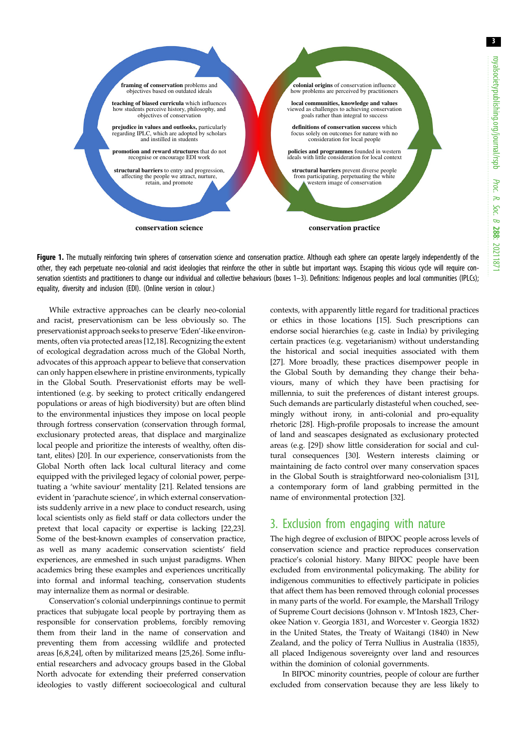<span id="page-2-0"></span>

Figure 1. The mutually reinforcing twin spheres of conservation science and conservation practice. Although each sphere can operate largely independently of the other, they each perpetuate neo-colonial and racist ideologies that reinforce the other in subtle but important ways. Escaping this vicious cycle will require con-servation scientists and practitioners to change our individual and collective behaviours [\(boxes 1](#page-4-0)-[3\)](#page-5-0). Definitions: Indigenous peoples and local communities (IPLCs); equality, diversity and inclusion (EDI). (Online version in colour.)

While extractive approaches can be clearly neo-colonial and racist, preservationism can be less obviously so. The preservationist approach seeks to preserve 'Eden'-like environments, often via protected areas [[12,18](#page-7-0)]. Recognizing the extent of ecological degradation across much of the Global North, advocates of this approach appear to believe that conservation can only happen elsewhere in pristine environments, typically in the Global South. Preservationist efforts may be wellintentioned (e.g. by seeking to protect critically endangered populations or areas of high biodiversity) but are often blind to the environmental injustices they impose on local people through fortress conservation (conservation through formal, exclusionary protected areas, that displace and marginalize local people and prioritize the interests of wealthy, often distant, elites) [\[20](#page-7-0)]. In our experience, conservationists from the Global North often lack local cultural literacy and come equipped with the privileged legacy of colonial power, perpetuating a 'white saviour' mentality [[21\]](#page-7-0). Related tensions are evident in 'parachute science', in which external conservationists suddenly arrive in a new place to conduct research, using local scientists only as field staff or data collectors under the pretext that local capacity or expertise is lacking [\[22,23](#page-7-0)]. Some of the best-known examples of conservation practice, as well as many academic conservation scientists' field experiences, are enmeshed in such unjust paradigms. When academics bring these examples and experiences uncritically into formal and informal teaching, conservation students may internalize them as normal or desirable.

Conservation's colonial underpinnings continue to permit practices that subjugate local people by portraying them as responsible for conservation problems, forcibly removing them from their land in the name of conservation and preventing them from accessing wildlife and protected areas [\[6,8](#page-7-0),[24\]](#page-7-0), often by militarized means [[25,26](#page-7-0)]. Some influential researchers and advocacy groups based in the Global North advocate for extending their preferred conservation ideologies to vastly different socioecological and cultural contexts, with apparently little regard for traditional practices or ethics in those locations [[15\]](#page-7-0). Such prescriptions can endorse social hierarchies (e.g. caste in India) by privileging certain practices (e.g. vegetarianism) without understanding the historical and social inequities associated with them [[27\]](#page-7-0). More broadly, these practices disempower people in the Global South by demanding they change their behaviours, many of which they have been practising for millennia, to suit the preferences of distant interest groups. Such demands are particularly distasteful when couched, seemingly without irony, in anti-colonial and pro-equality rhetoric [[28\]](#page-7-0). High-profile proposals to increase the amount of land and seascapes designated as exclusionary protected areas (e.g. [[29\]](#page-7-0)) show little consideration for social and cultural consequences [[30\]](#page-7-0). Western interests claiming or maintaining de facto control over many conservation spaces in the Global South is straightforward neo-colonialism [[31\]](#page-7-0), a contemporary form of land grabbing permitted in the name of environmental protection [[32\]](#page-7-0).

### 3. Exclusion from engaging with nature

The high degree of exclusion of BIPOC people across levels of conservation science and practice reproduces conservation practice's colonial history. Many BIPOC people have been excluded from environmental policymaking. The ability for indigenous communities to effectively participate in policies that affect them has been removed through colonial processes in many parts of the world. For example, the Marshall Trilogy of Supreme Court decisions (Johnson v. M'Intosh 1823, Cherokee Nation v. Georgia 1831, and Worcester v. Georgia 1832) in the United States, the Treaty of Waitangi (1840) in New Zealand, and the policy of Terra Nullius in Australia (1835), all placed Indigenous sovereignty over land and resources within the dominion of colonial governments.

In BIPOC minority countries, people of colour are further excluded from conservation because they are less likely to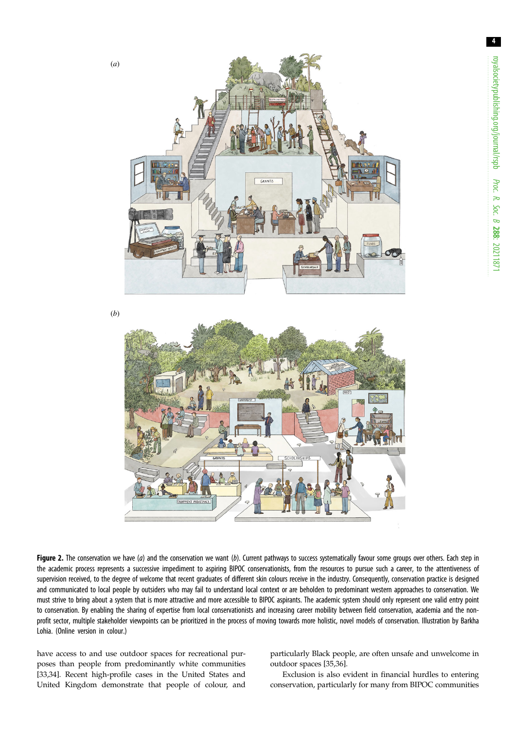<span id="page-3-0"></span>

(*b*)



Figure 2. The conservation we have (a) and the conservation we want (b). Current pathways to success systematically favour some groups over others. Each step in the academic process represents a successive impediment to aspiring BIPOC conservationists, from the resources to pursue such a career, to the attentiveness of supervision received, to the degree of welcome that recent graduates of different skin colours receive in the industry. Consequently, conservation practice is designed and communicated to local people by outsiders who may fail to understand local context or are beholden to predominant western approaches to conservation. We must strive to bring about a system that is more attractive and more accessible to BIPOC aspirants. The academic system should only represent one valid entry point to conservation. By enabling the sharing of expertise from local conservationists and increasing career mobility between field conservation, academia and the nonprofit sector, multiple stakeholder viewpoints can be prioritized in the process of moving towards more holistic, novel models of conservation. Illustration by Barkha Lohia. (Online version in colour.)

have access to and use outdoor spaces for recreational purposes than people from predominantly white communities [\[33,34](#page-7-0)]. Recent high-profile cases in the United States and United Kingdom demonstrate that people of colour, and particularly Black people, are often unsafe and unwelcome in outdoor spaces [\[35,36](#page-7-0)].

Exclusion is also evident in financial hurdles to entering conservation, particularly for many from BIPOC communities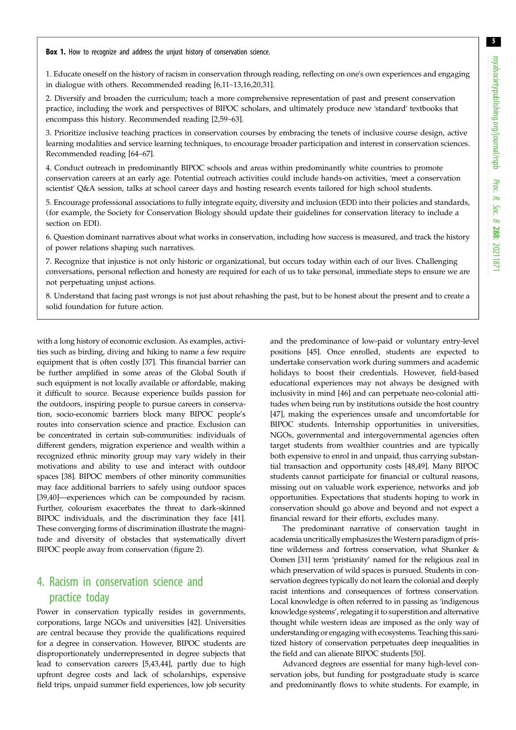<span id="page-4-0"></span>Box 1. How to recognize and address the unjust history of conservation science.

1. Educate oneself on the history of racism in conservation through reading, reflecting on one's own experiences and engaging in dialogue with others. Recommended reading [[6,11](#page-7-0)–[13](#page-7-0),[16,20,31](#page-7-0)].

2. Diversify and broaden the curriculum; teach a more comprehensive representation of past and present conservation practice, including the work and perspectives of BIPOC scholars, and ultimately produce new 'standard' textbooks that encompass this history. Recommended reading [\[2](#page-7-0),[59](#page-8-0)–[63](#page-8-0)].

3. Prioritize inclusive teaching practices in conservation courses by embracing the tenets of inclusive course design, active learning modalities and service learning techniques, to encourage broader participation and interest in conservation sciences. Recommended reading [[64](#page-8-0)–[67](#page-8-0)].

4. Conduct outreach in predominantly BIPOC schools and areas within predominantly white countries to promote conservation careers at an early age. Potential outreach activities could include hands-on activities, 'meet a conservation scientist' Q&A session, talks at school career days and hosting research events tailored for high school students.

5. Encourage professional associations to fully integrate equity, diversity and inclusion (EDI) into their policies and standards, (for example, the Society for Conservation Biology should update their guidelines for conservation literacy to include a section on EDI).

6. Question dominant narratives about what works in conservation, including how success is measured, and track the history of power relations shaping such narratives.

7. Recognize that injustice is not only historic or organizational, but occurs today within each of our lives. Challenging conversations, personal reflection and honesty are required for each of us to take personal, immediate steps to ensure we are not perpetuating unjust actions.

8. Understand that facing past wrongs is not just about rehashing the past, but to be honest about the present and to create a solid foundation for future action.

with a long history of economic exclusion. As examples, activities such as birding, diving and hiking to name a few require equipment that is often costly [\[37](#page-7-0)]. This financial barrier can be further amplified in some areas of the Global South if such equipment is not locally available or affordable, making it difficult to source. Because experience builds passion for the outdoors, inspiring people to pursue careers in conservation, socio-economic barriers block many BIPOC people's routes into conservation science and practice. Exclusion can be concentrated in certain sub-communities: individuals of different genders, migration experience and wealth within a recognized ethnic minority group may vary widely in their motivations and ability to use and interact with outdoor spaces [[38\]](#page-7-0). BIPOC members of other minority communities may face additional barriers to safely using outdoor spaces [\[39,40](#page-8-0)]—experiences which can be compounded by racism. Further, colourism exacerbates the threat to dark-skinned BIPOC individuals, and the discrimination they face [\[41](#page-8-0)]. These converging forms of discrimination illustrate the magnitude and diversity of obstacles that systematically divert BIPOC people away from conservation [\(figure 2\)](#page-3-0).

### 4. Racism in conservation science and practice today

Power in conservation typically resides in governments, corporations, large NGOs and universities [\[42](#page-8-0)]. Universities are central because they provide the qualifications required for a degree in conservation. However, BIPOC students are disproportionately underrepresented in degree subjects that lead to conservation careers [\[5,](#page-7-0)[43,44](#page-8-0)], partly due to high upfront degree costs and lack of scholarships, expensive field trips, unpaid summer field experiences, low job security and the predominance of low-paid or voluntary entry-level positions [[45\]](#page-8-0). Once enrolled, students are expected to undertake conservation work during summers and academic holidays to boost their credentials. However, field-based educational experiences may not always be designed with inclusivity in mind [[46\]](#page-8-0) and can perpetuate neo-colonial attitudes when being run by institutions outside the host country [[47\]](#page-8-0), making the experiences unsafe and uncomfortable for BIPOC students. Internship opportunities in universities, NGOs, governmental and intergovernmental agencies often target students from wealthier countries and are typically both expensive to enrol in and unpaid, thus carrying substantial transaction and opportunity costs [\[48,49](#page-8-0)]. Many BIPOC students cannot participate for financial or cultural reasons, missing out on valuable work experience, networks and job opportunities. Expectations that students hoping to work in conservation should go above and beyond and not expect a financial reward for their efforts, excludes many.

The predominant narrative of conservation taught in academia uncritically emphasizes theWestern paradigm of pristine wilderness and fortress conservation, what Shanker & Oomen [[31](#page-7-0)] term 'pristianity' named for the religious zeal in which preservation of wild spaces is pursued. Students in conservation degrees typically do not learn the colonial and deeply racist intentions and consequences of fortress conservation. Local knowledge is often referred to in passing as 'indigenous knowledge systems', relegating it to superstition and alternative thought while western ideas are imposed as the only way of understanding or engaging with ecosystems. Teaching this sanitized history of conservation perpetuates deep inequalities in the field and can alienate BIPOC students [\[50\]](#page-8-0).

Advanced degrees are essential for many high-level conservation jobs, but funding for postgraduate study is scarce and predominantly flows to white students. For example, in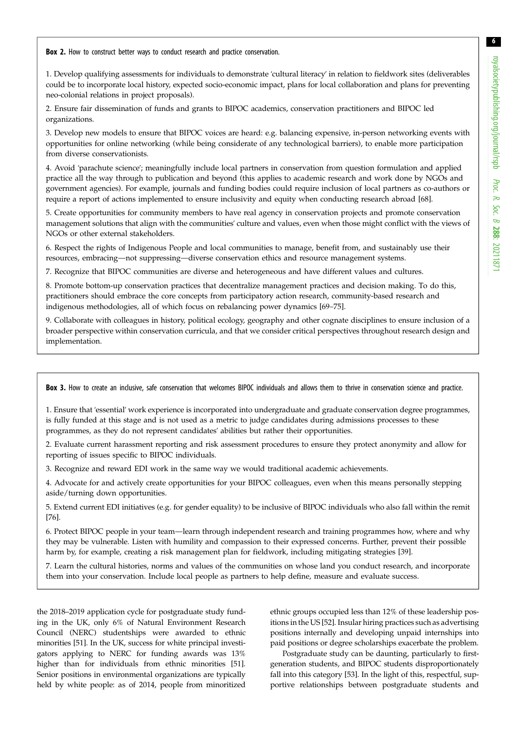<span id="page-5-0"></span>Box 2. How to construct better ways to conduct research and practice conservation.

1. Develop qualifying assessments for individuals to demonstrate 'cultural literacy' in relation to fieldwork sites (deliverables could be to incorporate local history, expected socio-economic impact, plans for local collaboration and plans for preventing neo-colonial relations in project proposals).

2. Ensure fair dissemination of funds and grants to BIPOC academics, conservation practitioners and BIPOC led organizations.

3. Develop new models to ensure that BIPOC voices are heard: e.g. balancing expensive, in-person networking events with opportunities for online networking (while being considerate of any technological barriers), to enable more participation from diverse conservationists.

4. Avoid 'parachute science'; meaningfully include local partners in conservation from question formulation and applied practice all the way through to publication and beyond (this applies to academic research and work done by NGOs and government agencies). For example, journals and funding bodies could require inclusion of local partners as co-authors or require a report of actions implemented to ensure inclusivity and equity when conducting research abroad [[68\]](#page-8-0).

5. Create opportunities for community members to have real agency in conservation projects and promote conservation management solutions that align with the communities' culture and values, even when those might conflict with the views of NGOs or other external stakeholders.

6. Respect the rights of Indigenous People and local communities to manage, benefit from, and sustainably use their resources, embracing—not suppressing—diverse conservation ethics and resource management systems.

7. Recognize that BIPOC communities are diverse and heterogeneous and have different values and cultures.

8. Promote bottom-up conservation practices that decentralize management practices and decision making. To do this, practitioners should embrace the core concepts from participatory action research, community-based research and indigenous methodologies, all of which focus on rebalancing power dynamics [[69](#page-8-0)–[75](#page-8-0)].

9. Collaborate with colleagues in history, political ecology, geography and other cognate disciplines to ensure inclusion of a broader perspective within conservation curricula, and that we consider critical perspectives throughout research design and implementation.

Box 3. How to create an inclusive, safe conservation that welcomes BIPOC individuals and allows them to thrive in conservation science and practice.

1. Ensure that 'essential' work experience is incorporated into undergraduate and graduate conservation degree programmes, is fully funded at this stage and is not used as a metric to judge candidates during admissions processes to these programmes, as they do not represent candidates' abilities but rather their opportunities.

2. Evaluate current harassment reporting and risk assessment procedures to ensure they protect anonymity and allow for reporting of issues specific to BIPOC individuals.

3. Recognize and reward EDI work in the same way we would traditional academic achievements.

4. Advocate for and actively create opportunities for your BIPOC colleagues, even when this means personally stepping aside/turning down opportunities.

5. Extend current EDI initiatives (e.g. for gender equality) to be inclusive of BIPOC individuals who also fall within the remit [[76\]](#page-8-0).

6. Protect BIPOC people in your team—learn through independent research and training programmes how, where and why they may be vulnerable. Listen with humility and compassion to their expressed concerns. Further, prevent their possible harm by, for example, creating a risk management plan for fieldwork, including mitigating strategies [\[39](#page-8-0)].

7. Learn the cultural histories, norms and values of the communities on whose land you conduct research, and incorporate them into your conservation. Include local people as partners to help define, measure and evaluate success.

the 2018–2019 application cycle for postgraduate study funding in the UK, only 6% of Natural Environment Research Council (NERC) studentships were awarded to ethnic minorities [\[51](#page-8-0)]. In the UK, success for white principal investigators applying to NERC for funding awards was 13% higher than for individuals from ethnic minorities [\[51](#page-8-0)]. Senior positions in environmental organizations are typically held by white people: as of 2014, people from minoritized ethnic groups occupied less than 12% of these leadership positions in the US [\[52](#page-8-0)]. Insular hiring practices such as advertising positions internally and developing unpaid internships into paid positions or degree scholarships exacerbate the problem.

Postgraduate study can be daunting, particularly to firstgeneration students, and BIPOC students disproportionately fall into this category [\[53](#page-8-0)]. In the light of this, respectful, supportive relationships between postgraduate students and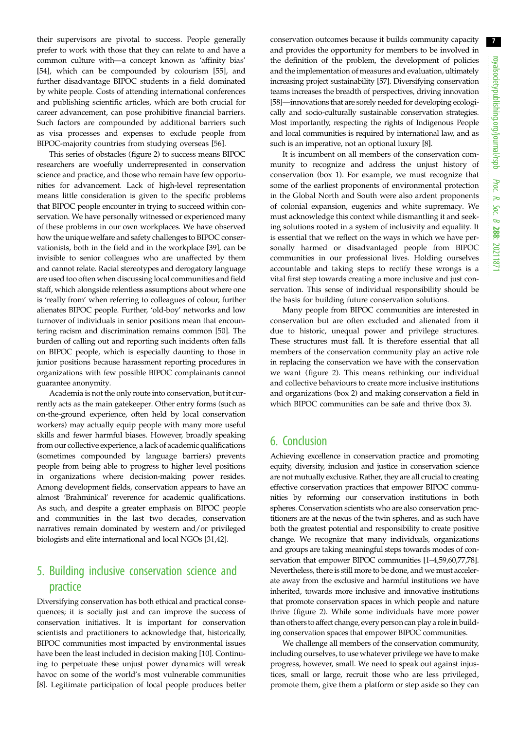their supervisors are pivotal to success. People generally prefer to work with those that they can relate to and have a common culture with—a concept known as 'affinity bias' [\[54](#page-8-0)], which can be compounded by colourism [[55\]](#page-8-0), and further disadvantage BIPOC students in a field dominated by white people. Costs of attending international conferences and publishing scientific articles, which are both crucial for career advancement, can pose prohibitive financial barriers. Such factors are compounded by additional barriers such as visa processes and expenses to exclude people from BIPOC-majority countries from studying overseas [[56\]](#page-8-0).

This series of obstacles [\(figure 2\)](#page-3-0) to success means BIPOC researchers are woefully underrepresented in conservation science and practice, and those who remain have few opportunities for advancement. Lack of high-level representation means little consideration is given to the specific problems that BIPOC people encounter in trying to succeed within conservation. We have personally witnessed or experienced many of these problems in our own workplaces. We have observed how the unique welfare and safety challenges to BIPOC conservationists, both in the field and in the workplace [\[39](#page-8-0)], can be invisible to senior colleagues who are unaffected by them and cannot relate. Racial stereotypes and derogatory language are used too often when discussing local communities and field staff, which alongside relentless assumptions about where one is 'really from' when referring to colleagues of colour, further alienates BIPOC people. Further, 'old-boy' networks and low turnover of individuals in senior positions mean that encountering racism and discrimination remains common [\[50](#page-8-0)]. The burden of calling out and reporting such incidents often falls on BIPOC people, which is especially daunting to those in junior positions because harassment reporting procedures in organizations with few possible BIPOC complainants cannot guarantee anonymity.

Academia is not the only route into conservation, but it currently acts as the main gatekeeper. Other entry forms (such as on-the-ground experience, often held by local conservation workers) may actually equip people with many more useful skills and fewer harmful biases. However, broadly speaking from our collective experience, a lack of academic qualifications (sometimes compounded by language barriers) prevents people from being able to progress to higher level positions in organizations where decision-making power resides. Among development fields, conservation appears to have an almost 'Brahminical' reverence for academic qualifications. As such, and despite a greater emphasis on BIPOC people and communities in the last two decades, conservation narratives remain dominated by western and/or privileged biologists and elite international and local NGOs [[31,](#page-7-0)[42\]](#page-8-0).

### 5. Building inclusive conservation science and practice

Diversifying conservation has both ethical and practical consequences; it is socially just and can improve the success of conservation initiatives. It is important for conservation scientists and practitioners to acknowledge that, historically, BIPOC communities most impacted by environmental issues have been the least included in decision making [[10\]](#page-7-0). Continuing to perpetuate these unjust power dynamics will wreak havoc on some of the world's most vulnerable communities [\[8\]](#page-7-0). Legitimate participation of local people produces better

conservation outcomes because it builds community capacity and provides the opportunity for members to be involved in the definition of the problem, the development of policies and the implementation of measures and evaluation, ultimately increasing project sustainability [[57\]](#page-8-0). Diversifying conservation teams increases the breadth of perspectives, driving innovation [[58](#page-8-0)]—innovations that are sorely needed for developing ecologically and socio-culturally sustainable conservation strategies. Most importantly, respecting the rights of Indigenous People and local communities is required by international law, and as such is an imperative, not an optional luxury [\[8](#page-7-0)].

It is incumbent on all members of the conservation community to recognize and address the unjust history of conservation ([box 1\)](#page-4-0). For example, we must recognize that some of the earliest proponents of environmental protection in the Global North and South were also ardent proponents of colonial expansion, eugenics and white supremacy. We must acknowledge this context while dismantling it and seeking solutions rooted in a system of inclusivity and equality. It is essential that we reflect on the ways in which we have personally harmed or disadvantaged people from BIPOC communities in our professional lives. Holding ourselves accountable and taking steps to rectify these wrongs is a vital first step towards creating a more inclusive and just conservation. This sense of individual responsibility should be the basis for building future conservation solutions.

Many people from BIPOC communities are interested in conservation but are often excluded and alienated from it due to historic, unequal power and privilege structures. These structures must fall. It is therefore essential that all members of the conservation community play an active role in replacing the conservation we have with the conservation we want [\(figure 2\)](#page-3-0). This means rethinking our individual and collective behaviours to create more inclusive institutions and organizations [\(box 2\)](#page-5-0) and making conservation a field in which BIPOC communities can be safe and thrive [\(box 3](#page-5-0)).

#### 6. Conclusion

Achieving excellence in conservation practice and promoting equity, diversity, inclusion and justice in conservation science are not mutually exclusive. Rather, they are all crucial to creating effective conservation practices that empower BIPOC communities by reforming our conservation institutions in both spheres. Conservation scientists who are also conservation practitioners are at the nexus of the twin spheres, and as such have both the greatest potential and responsibility to create positive change. We recognize that many individuals, organizations and groups are taking meaningful steps towards modes of conservation that empower BIPOC communities [\[1](#page-7-0)–[4](#page-7-0)[,59,60,77,78\]](#page-8-0). Nevertheless, there is still more to be done, and we must accelerate away from the exclusive and harmful institutions we have inherited, towards more inclusive and innovative institutions that promote conservation spaces in which people and nature thrive [\(figure 2](#page-3-0)). While some individuals have more power than others to affect change, every person can play a role in building conservation spaces that empower BIPOC communities.

We challenge all members of the conservation community, including ourselves, to use whatever privilege we have to make progress, however, small. We need to speak out against injustices, small or large, recruit those who are less privileged, promote them, give them a platform or step aside so they can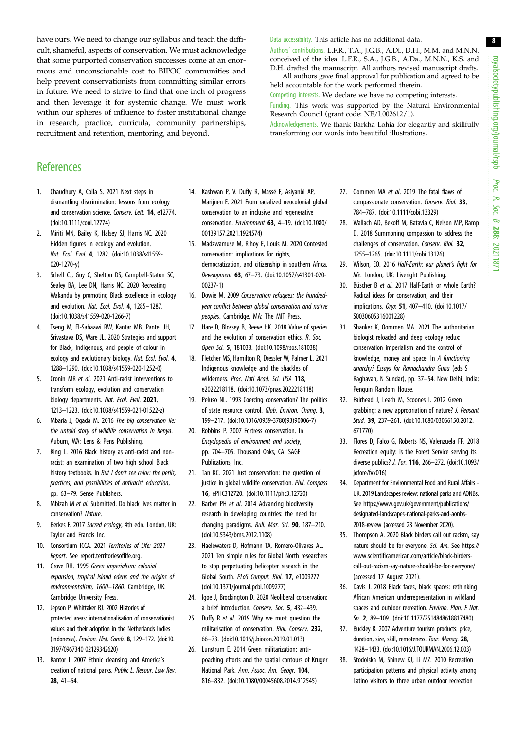<span id="page-7-0"></span>have ours. We need to change our syllabus and teach the difficult, shameful, aspects of conservation. We must acknowledge that some purported conservation successes come at an enormous and unconscionable cost to BIPOC communities and help prevent conservationists from committing similar errors in future. We need to strive to find that one inch of progress and then leverage it for systemic change. We must work within our spheres of influence to foster institutional change in research, practice, curricula, community partnerships, recruitment and retention, mentoring, and beyond.

#### Data accessibility. This article has no additional data.

Authors' contributions. L.F.R., T.A., J.G.B., A.Di., D.H., M.M. and M.N.N. conceived of the idea. L.F.R., S.A., J.G.B., A.Da., M.N.N., K.S. and D.H. drafted the manuscript. All authors revised manuscript drafts. All authors gave final approval for publication and agreed to be held accountable for the work performed therein.

Competing interests. We declare we have no competing interests.

Funding. This work was supported by the Natural Environmental Research Council (grant code: NE/L002612/1).

Acknowledgements. We thank Barkha Lohia for elegantly and skillfully transforming our words into beautiful illustrations.

### **References**

- 1. Chaudhury A, Colla S. 2021 Next steps in dismantling discrimination: lessons from ecology and conservation science. Conserv. Lett. 14, e12774. [\(doi:10.1111/conl.12774\)](http://dx.doi.org/10.1111/conl.12774)
- 2. Miriti MN, Bailey K, Halsey SJ, Harris NC. 2020 Hidden figures in ecology and evolution. Nat. Ecol. Evol. 4, 1282. ([doi:10.1038/s41559-](http://dx.doi.org/10.1038/s41559-020-1270-y) [020-1270-y\)](http://dx.doi.org/10.1038/s41559-020-1270-y)
- 3. Schell CJ, Guy C, Shelton DS, Campbell-Staton SC, Sealey BA, Lee DN, Harris NC. 2020 Recreating Wakanda by promoting Black excellence in ecology and evolution. Nat. Ecol. Evol. 4, 1285-1287. [\(doi:10.1038/s41559-020-1266-7\)](http://dx.doi.org/10.1038/s41559-020-1266-7)
- 4. Tseng M, El-Sabaawi RW, Kantar MB, Pantel JH, Srivastava DS, Ware JL. 2020 Strategies and support for Black, Indigenous, and people of colour in ecology and evolutionary biology. Nat. Ecol. Evol. 4, 1288–1290. [\(doi:10.1038/s41559-020-1252-0\)](http://dx.doi.org/10.1038/s41559-020-1252-0)
- 5. Cronin MR et al. 2021 Anti-racist interventions to transform ecology, evolution and conservation biology departments. Nat. Ecol. Evol. 2021, 1213–1223. [\(doi:10.1038/s41559-021-01522-z\)](http://dx.doi.org/10.1038/s41559-021-01522-z)
- 6. Mbaria J, Ogada M. 2016 The big conservation lie: the untold story of wildlife conservation in Kenya. Auburn, WA: Lens & Pens Publishing.
- 7. King L. 2016 Black history as anti-racist and nonracist: an examination of two high school Black history textbooks. In But I don't see color: the perils, practices, and possibilities of antiracist education, pp. 63–79. Sense Publishers.
- 8. Mbizah M et al. Submitted. Do black lives matter in conservation? Nature.
- 9. Berkes F. 2017 Sacred ecology, 4th edn. London, UK: Taylor and Francis Inc.
- 10. Consortium ICCA. 2021 Territories of Life: 2021 Report. See report.territoriesoflife.org.
- 11. Grove RH. 1995 Green imperialism: colonial expansion, tropical island edens and the origins of environmentalism, 1600–1860. Cambridge, UK: Cambridge University Press.
- 12. Jepson P, Whittaker RJ. 2002 Histories of protected areas: internationalisation of conservationist values and their adoption in the Netherlands Indies (Indonesia). Environ. Hist. Camb. 8, 129–172. ([doi:10.](http://dx.doi.org/10.3197/096734002129342620) [3197/0967340 02129342620\)](http://dx.doi.org/10.3197/096734002129342620)
- 13. Kantor I. 2007 Ethnic cleansing and America's creation of national parks. Public L. Resour. Law Rev. 28, 41–64.
- 14. Kashwan P, V. Duffy R, Massé F, Asiyanbi AP, Marijnen E. 2021 From racialized neocolonial global conservation to an inclusive and regenerative conservation. Environment 63, 4–19. [\(doi:10.1080/](http://dx.doi.org/10.1080/00139157.2021.1924574) [00139157.2021.1924574](http://dx.doi.org/10.1080/00139157.2021.1924574))
- 15. Madzwamuse M, Rihoy E, Louis M. 2020 Contested conservation: implications for rights, democratization, and citizenship in southern Africa. Development 63, 67–73. ([doi:10.1057/s41301-020-](http://dx.doi.org/10.1057/s41301-020-00237-1) [00237-1\)](http://dx.doi.org/10.1057/s41301-020-00237-1)
- 16. Dowie M. 2009 Conservation refugees: the hundredyear conflict between global conservation and native peoples. Cambridge, MA: The MIT Press.
- 17. Hare D, Blossey B, Reeve HK. 2018 Value of species and the evolution of conservation ethics. R. Soc. Open Sci. 5, 181038. [\(doi:10.1098/rsos.181038](http://dx.doi.org/10.1098/rsos.181038))
- 18. Fletcher MS, Hamilton R, Dressler W, Palmer L. 2021 Indigenous knowledge and the shackles of wilderness. Proc. Natl Acad. Sci. USA 118, e2022218118. ([doi:10.1073/pnas.2022218118\)](http://dx.doi.org/10.1073/pnas.2022218118)
- 19. Peluso NL. 1993 Coercing conservation? The politics of state resource control. Glob. Environ. Chang. 3, 199–217. ([doi:10.1016/0959-3780\(93\)90006-7](http://dx.doi.org/10.1016/0959-3780(93)90006-7))
- 20. Robbins P. 2007 Fortress conservation. In Encyclopedia of environment and society, pp. 704–705. Thousand Oaks, CA: SAGE Publications, Inc.
- 21. Tan KC. 2021 Just conservation: the question of justice in global wildlife conservation. Phil. Compass 16, ePHC312720. [\(doi:10.1111/phc3.12720\)](http://dx.doi.org/10.1111/phc3.12720)
- 22. Barber PH et al. 2014 Advancing biodiversity research in developing countries: the need for changing paradigms. Bull. Mar. Sci. 90, 187-210. [\(doi:10.5343/bms.2012.1108\)](http://dx.doi.org/10.5343/bms.2012.1108)
- 23. Haelewaters D, Hofmann TA, Romero-Olivares AL. 2021 Ten simple rules for Global North researchers to stop perpetuating helicopter research in the Global South. PLoS Comput. Biol. 17, e1009277. [\(doi:10.1371/journal.pcbi.1009277](http://dx.doi.org/10.1371/journal.pcbi.1009277))
- 24. Igoe J, Brockington D. 2020 Neoliberal conservation: a brief introduction. Conserv. Soc. 5, 432–439.
- 25. Duffy R et al. 2019 Why we must question the militarisation of conservation. Biol. Conserv. 232, 66–73. ([doi:10.1016/j.biocon.2019.01.013](http://dx.doi.org/10.1016/j.biocon.2019.01.013))
- 26. Lunstrum E. 2014 Green militarization: antipoaching efforts and the spatial contours of Kruger National Park. Ann. Assoc. Am. Geogr. 104, 816–832. ([doi:10.1080/00045608.2014.912545](http://dx.doi.org/10.1080/00045608.2014.912545))
- 27. Oommen MA et al. 2019 The fatal flaws of compassionate conservation. Conserv. Biol. 33, 784–787. [\(doi:10.1111/cobi.13329\)](http://dx.doi.org/10.1111/cobi.13329)
- 28. Wallach AD, Bekoff M, Batavia C, Nelson MP, Ramp D. 2018 Summoning compassion to address the challenges of conservation. Conserv. Biol. 32, 1255–1265. [\(doi:10.1111/cobi.13126](http://dx.doi.org/10.1111/cobi.13126))
- 29. Wilson, EO. 2016 Half-Earth: our planet's fight for life. London, UK: Liveright Publishing.
- 30. Büscher B et al. 2017 Half-Earth or whole Earth? Radical ideas for conservation, and their implications. Oryx 51, 407–410. [\(doi:10.1017/](http://dx.doi.org/10.1017/S0030605316001228) [S0030605316001228\)](http://dx.doi.org/10.1017/S0030605316001228)
- 31. Shanker K, Oommen MA. 2021 The authoritarian biologist reloaded and deep ecology redux: conservation imperialism and the control of knowledge, money and space. In A functioning anarchy? Essays for Ramachandra Guha (eds S Raghavan, N Sundar), pp. 37–54. New Delhi, India: Penguin Random House.
- 32. Fairhead J, Leach M, Scoones I. 2012 Green grabbing: a new appropriation of nature? J. Peasant Stud. 39, 237–261. [\(doi:10.1080/03066150.2012.](http://dx.doi.org/10.1080/03066150.2012.671770) [671770\)](http://dx.doi.org/10.1080/03066150.2012.671770)
- 33. Flores D, Falco G, Roberts NS, Valenzuela FP. 2018 Recreation equity: is the Forest Service serving its diverse publics? J. For. 116, 266–272. [\(doi:10.1093/](http://dx.doi.org/10.1093/jofore/fvx016) iofore/fvx016)
- 34. Department for Environmental Food and Rural Affairs UK. 2019 Landscapes review: national parks and AONBs. See [https://www.gov.uk/government/publications/](https://www.gov.uk/government/publications/designated-landscapes-national-parks-and-aonbs-2018-review) [designated-landscapes-national-parks-and-aonbs-](https://www.gov.uk/government/publications/designated-landscapes-national-parks-and-aonbs-2018-review)[2018-review](https://www.gov.uk/government/publications/designated-landscapes-national-parks-and-aonbs-2018-review) (accessed 23 November 2020).
- 35. Thompson A. 2020 Black birders call out racism, say nature should be for everyone. Sci. Am. See [https://](https://www.scientificamerican.com/article/black-birders-call-out-racism-say-nature-should-be-for-everyone/) [www.scientificamerican.com/article/black-birders](https://www.scientificamerican.com/article/black-birders-call-out-racism-say-nature-should-be-for-everyone/)[call-out-racism-say-nature-should-be-for-everyone/](https://www.scientificamerican.com/article/black-birders-call-out-racism-say-nature-should-be-for-everyone/) (accessed 17 August 2021).
- 36. Davis J. 2018 Black faces, black spaces: rethinking African American underrepresentation in wildland spaces and outdoor recreation. Environ. Plan. E Nat. Sp. 2, 89–109. [\(doi:10.1177/2514848618817480](http://dx.doi.org/10.1177/2514848618817480))
- 37. Buckley R. 2007 Adventure tourism products: price, duration, size, skill, remoteness. Tour. Manag. 28, 1428–1433. [\(doi:10.1016/J.TOURMAN.2006.12.003](http://dx.doi.org/10.1016/J.TOURMAN.2006.12.003))
- 38. Stodolska M, Shinew KJ, Li MZ. 2010 Recreation participation patterns and physical activity among Latino visitors to three urban outdoor recreation